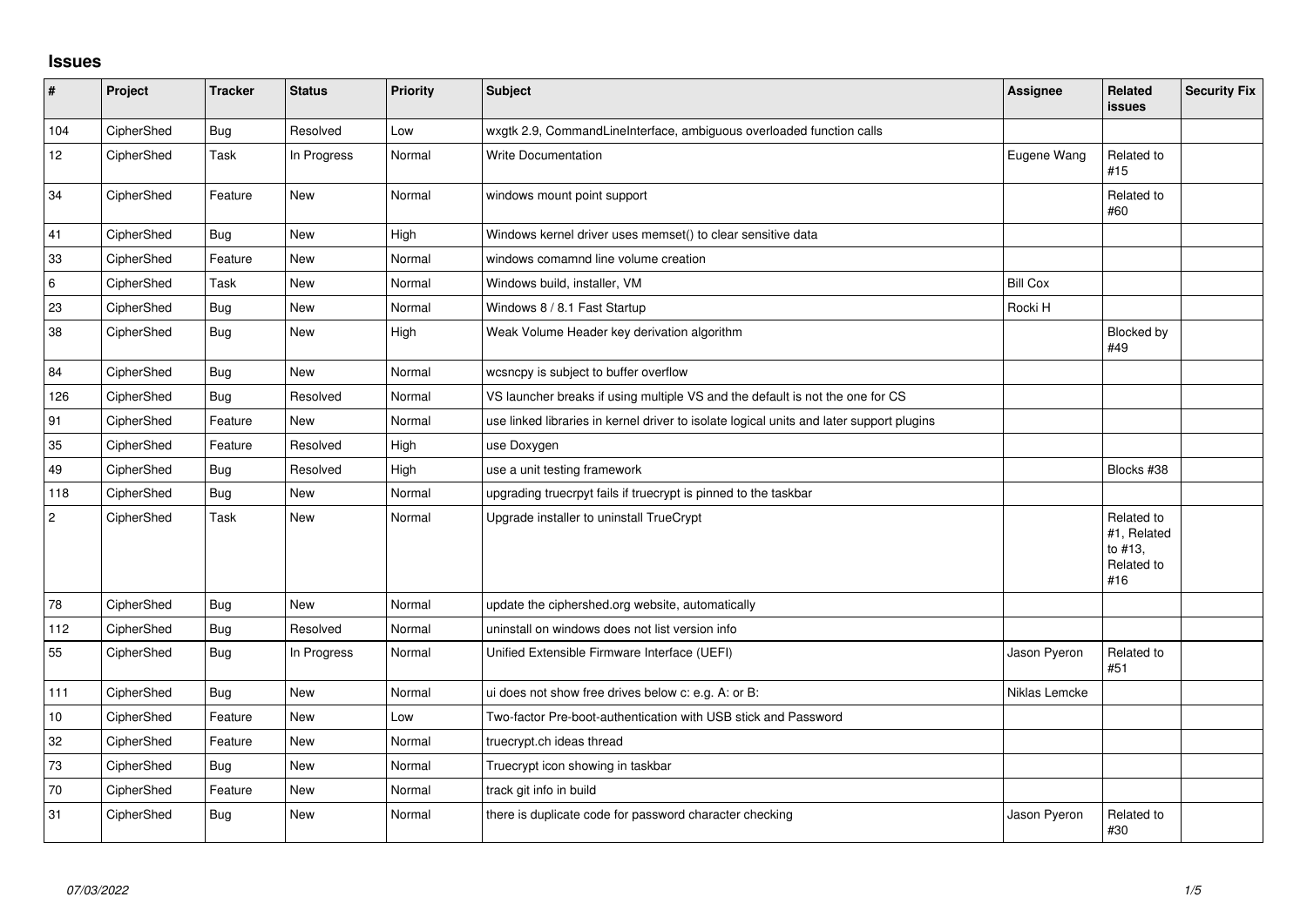## **Issues**

| #              | Project    | <b>Tracker</b> | <b>Status</b> | <b>Priority</b> | Subject                                                                                  | <b>Assignee</b> | Related<br>issues                                         | <b>Security Fix</b> |
|----------------|------------|----------------|---------------|-----------------|------------------------------------------------------------------------------------------|-----------------|-----------------------------------------------------------|---------------------|
| 104            | CipherShed | Bug            | Resolved      | Low             | wxgtk 2.9, CommandLineInterface, ambiguous overloaded function calls                     |                 |                                                           |                     |
| 12             | CipherShed | Task           | In Progress   | Normal          | <b>Write Documentation</b>                                                               | Eugene Wang     | Related to<br>#15                                         |                     |
| 34             | CipherShed | Feature        | New           | Normal          | windows mount point support                                                              |                 | Related to<br>#60                                         |                     |
| 41             | CipherShed | <b>Bug</b>     | <b>New</b>    | High            | Windows kernel driver uses memset() to clear sensitive data                              |                 |                                                           |                     |
| 33             | CipherShed | Feature        | <b>New</b>    | Normal          | windows comamnd line volume creation                                                     |                 |                                                           |                     |
| 6              | CipherShed | Task           | <b>New</b>    | Normal          | Windows build, installer, VM                                                             | <b>Bill Cox</b> |                                                           |                     |
| 23             | CipherShed | Bug            | New           | Normal          | Windows 8 / 8.1 Fast Startup                                                             | Rocki H         |                                                           |                     |
| 38             | CipherShed | Bug            | New           | High            | Weak Volume Header key derivation algorithm                                              |                 | Blocked by<br>#49                                         |                     |
| 84             | CipherShed | Bug            | <b>New</b>    | Normal          | wcsncpy is subject to buffer overflow                                                    |                 |                                                           |                     |
| 126            | CipherShed | <b>Bug</b>     | Resolved      | Normal          | VS launcher breaks if using multiple VS and the default is not the one for CS            |                 |                                                           |                     |
| 91             | CipherShed | Feature        | New           | Normal          | use linked libraries in kernel driver to isolate logical units and later support plugins |                 |                                                           |                     |
| 35             | CipherShed | Feature        | Resolved      | High            | use Doxygen                                                                              |                 |                                                           |                     |
| 49             | CipherShed | <b>Bug</b>     | Resolved      | High            | use a unit testing framework                                                             |                 | Blocks #38                                                |                     |
| 118            | CipherShed | <b>Bug</b>     | <b>New</b>    | Normal          | upgrading truecrpyt fails if truecrypt is pinned to the taskbar                          |                 |                                                           |                     |
| $\overline{2}$ | CipherShed | Task           | New           | Normal          | Upgrade installer to uninstall TrueCrypt                                                 |                 | Related to<br>#1, Related<br>to #13,<br>Related to<br>#16 |                     |
| 78             | CipherShed | <b>Bug</b>     | <b>New</b>    | Normal          | update the ciphershed.org website, automatically                                         |                 |                                                           |                     |
| 112            | CipherShed | <b>Bug</b>     | Resolved      | Normal          | uninstall on windows does not list version info                                          |                 |                                                           |                     |
| 55             | CipherShed | <b>Bug</b>     | In Progress   | Normal          | Unified Extensible Firmware Interface (UEFI)                                             | Jason Pyeron    | Related to<br>#51                                         |                     |
| 111            | CipherShed | Bug            | <b>New</b>    | Normal          | ui does not show free drives below c: e.g. A: or B:                                      | Niklas Lemcke   |                                                           |                     |
| 10             | CipherShed | Feature        | <b>New</b>    | Low             | Two-factor Pre-boot-authentication with USB stick and Password                           |                 |                                                           |                     |
| 32             | CipherShed | Feature        | <b>New</b>    | Normal          | truecrypt.ch ideas thread                                                                |                 |                                                           |                     |
| 73             | CipherShed | Bug            | <b>New</b>    | Normal          | Truecrypt icon showing in taskbar                                                        |                 |                                                           |                     |
| 70             | CipherShed | Feature        | <b>New</b>    | Normal          | track git info in build                                                                  |                 |                                                           |                     |
| 31             | CipherShed | <b>Bug</b>     | <b>New</b>    | Normal          | there is duplicate code for password character checking                                  | Jason Pyeron    | Related to<br>#30                                         |                     |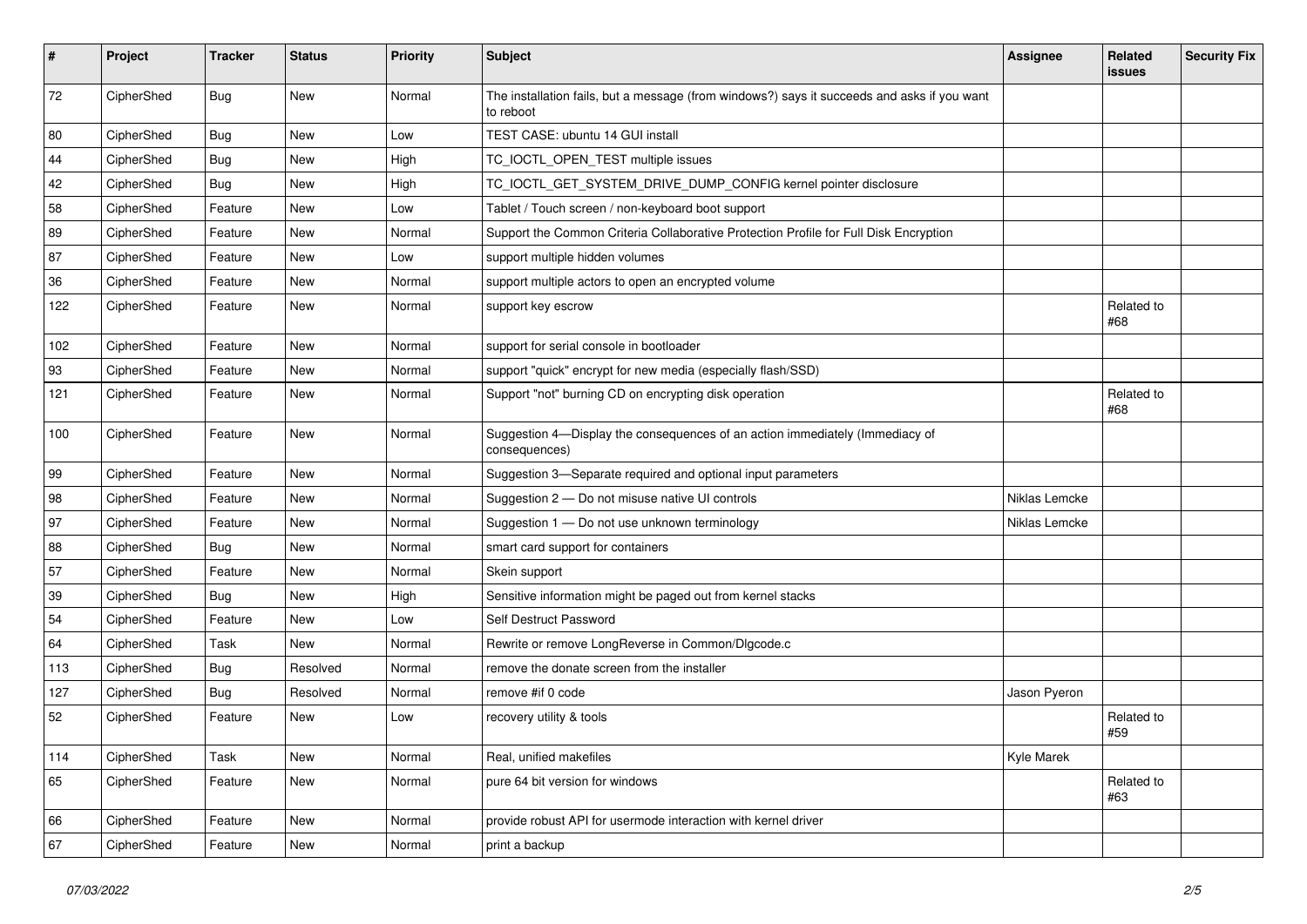| #   | Project    | <b>Tracker</b> | <b>Status</b> | <b>Priority</b> | Subject                                                                                                  | <b>Assignee</b> | <b>Related</b><br><b>issues</b> | <b>Security Fix</b> |
|-----|------------|----------------|---------------|-----------------|----------------------------------------------------------------------------------------------------------|-----------------|---------------------------------|---------------------|
| 72  | CipherShed | Bug            | New           | Normal          | The installation fails, but a message (from windows?) says it succeeds and asks if you want<br>to reboot |                 |                                 |                     |
| 80  | CipherShed | <b>Bug</b>     | New           | Low             | TEST CASE: ubuntu 14 GUI install                                                                         |                 |                                 |                     |
| 44  | CipherShed | <b>Bug</b>     | New           | High            | TC_IOCTL_OPEN_TEST multiple issues                                                                       |                 |                                 |                     |
| 42  | CipherShed | <b>Bug</b>     | New           | High            | TC_IOCTL_GET_SYSTEM_DRIVE_DUMP_CONFIG kernel pointer disclosure                                          |                 |                                 |                     |
| 58  | CipherShed | Feature        | New           | Low             | Tablet / Touch screen / non-keyboard boot support                                                        |                 |                                 |                     |
| 89  | CipherShed | Feature        | New           | Normal          | Support the Common Criteria Collaborative Protection Profile for Full Disk Encryption                    |                 |                                 |                     |
| 87  | CipherShed | Feature        | New           | Low             | support multiple hidden volumes                                                                          |                 |                                 |                     |
| 36  | CipherShed | Feature        | New           | Normal          | support multiple actors to open an encrypted volume                                                      |                 |                                 |                     |
| 122 | CipherShed | Feature        | New           | Normal          | support key escrow                                                                                       |                 | Related to<br>#68               |                     |
| 102 | CipherShed | Feature        | New           | Normal          | support for serial console in bootloader                                                                 |                 |                                 |                     |
| 93  | CipherShed | Feature        | New           | Normal          | support "quick" encrypt for new media (especially flash/SSD)                                             |                 |                                 |                     |
| 121 | CipherShed | Feature        | New           | Normal          | Support "not" burning CD on encrypting disk operation                                                    |                 | Related to<br>#68               |                     |
| 100 | CipherShed | Feature        | New           | Normal          | Suggestion 4-Display the consequences of an action immediately (Immediacy of<br>consequences)            |                 |                                 |                     |
| 99  | CipherShed | Feature        | New           | Normal          | Suggestion 3-Separate required and optional input parameters                                             |                 |                                 |                     |
| 98  | CipherShed | Feature        | New           | Normal          | Suggestion 2 - Do not misuse native UI controls                                                          | Niklas Lemcke   |                                 |                     |
| 97  | CipherShed | Feature        | New           | Normal          | Suggestion 1 - Do not use unknown terminology                                                            | Niklas Lemcke   |                                 |                     |
| 88  | CipherShed | <b>Bug</b>     | New           | Normal          | smart card support for containers                                                                        |                 |                                 |                     |
| 57  | CipherShed | Feature        | New           | Normal          | Skein support                                                                                            |                 |                                 |                     |
| 39  | CipherShed | <b>Bug</b>     | New           | High            | Sensitive information might be paged out from kernel stacks                                              |                 |                                 |                     |
| 54  | CipherShed | Feature        | New           | Low             | Self Destruct Password                                                                                   |                 |                                 |                     |
| 64  | CipherShed | Task           | New           | Normal          | Rewrite or remove LongReverse in Common/Dlgcode.c                                                        |                 |                                 |                     |
| 113 | CipherShed | <b>Bug</b>     | Resolved      | Normal          | remove the donate screen from the installer                                                              |                 |                                 |                     |
| 127 | CipherShed | <b>Bug</b>     | Resolved      | Normal          | remove #if 0 code                                                                                        | Jason Pyeron    |                                 |                     |
| 52  | CipherShed | Feature        | New           | Low             | recovery utility & tools                                                                                 |                 | Related to<br>#59               |                     |
| 114 | CipherShed | Task           | New           | Normal          | Real, unified makefiles                                                                                  | Kyle Marek      |                                 |                     |
| 65  | CipherShed | Feature        | New           | Normal          | pure 64 bit version for windows                                                                          |                 | Related to<br>#63               |                     |
| 66  | CipherShed | Feature        | New           | Normal          | provide robust API for usermode interaction with kernel driver                                           |                 |                                 |                     |
| 67  | CipherShed | Feature        | New           | Normal          | print a backup                                                                                           |                 |                                 |                     |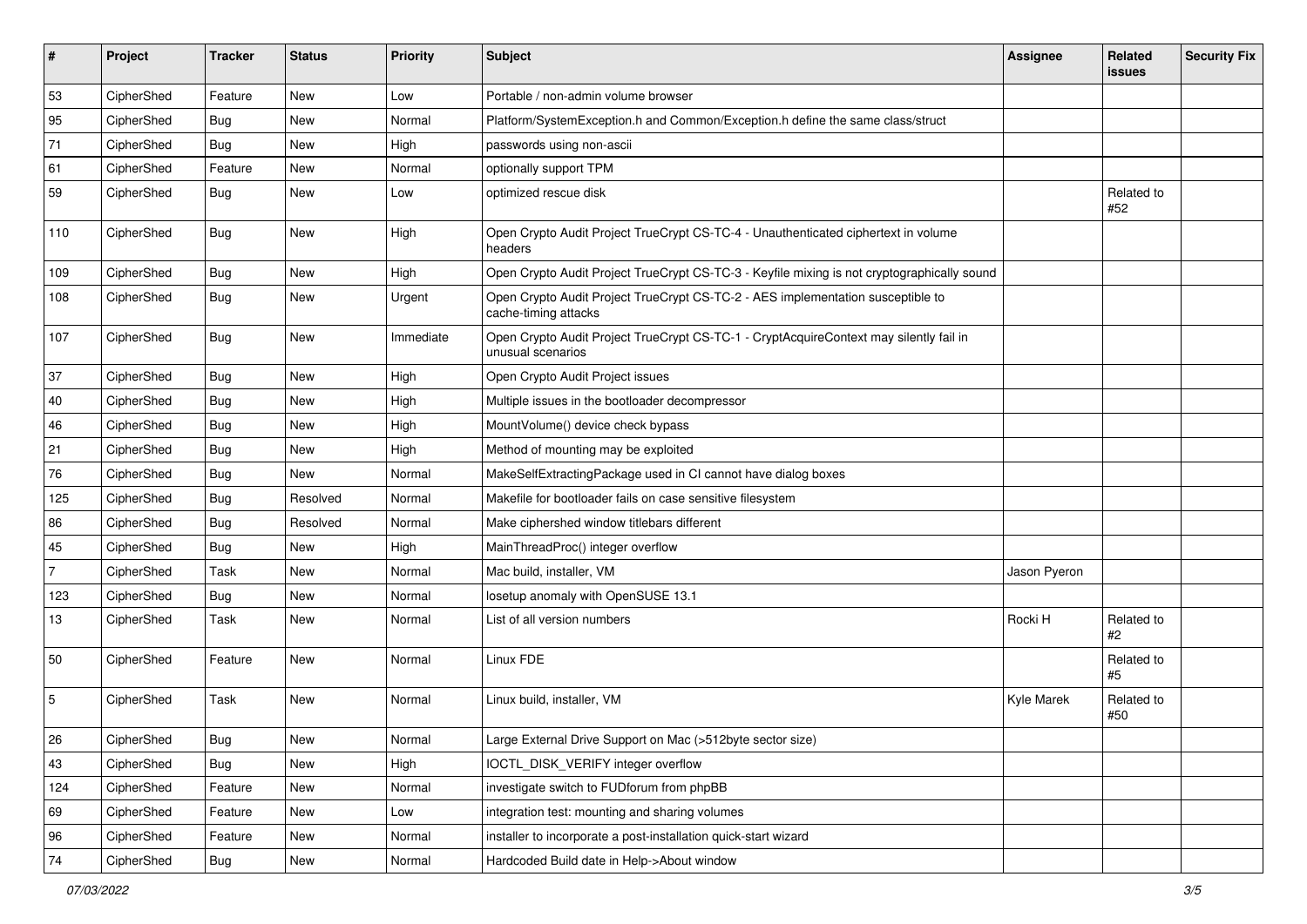| #              | Project    | <b>Tracker</b> | <b>Status</b> | <b>Priority</b> | Subject                                                                                                     | Assignee     | Related<br>issues | <b>Security Fix</b> |
|----------------|------------|----------------|---------------|-----------------|-------------------------------------------------------------------------------------------------------------|--------------|-------------------|---------------------|
| 53             | CipherShed | Feature        | <b>New</b>    | Low             | Portable / non-admin volume browser                                                                         |              |                   |                     |
| 95             | CipherShed | <b>Bug</b>     | New           | Normal          | Platform/SystemException.h and Common/Exception.h define the same class/struct                              |              |                   |                     |
| 71             | CipherShed | <b>Bug</b>     | New           | High            | passwords using non-ascii                                                                                   |              |                   |                     |
| 61             | CipherShed | Feature        | New           | Normal          | optionally support TPM                                                                                      |              |                   |                     |
| 59             | CipherShed | Bug            | New           | Low             | optimized rescue disk                                                                                       |              | Related to<br>#52 |                     |
| 110            | CipherShed | <b>Bug</b>     | <b>New</b>    | High            | Open Crypto Audit Project TrueCrypt CS-TC-4 - Unauthenticated ciphertext in volume<br>headers               |              |                   |                     |
| 109            | CipherShed | Bug            | New           | High            | Open Crypto Audit Project TrueCrypt CS-TC-3 - Keyfile mixing is not cryptographically sound                 |              |                   |                     |
| 108            | CipherShed | Bug            | New           | Urgent          | Open Crypto Audit Project TrueCrypt CS-TC-2 - AES implementation susceptible to<br>cache-timing attacks     |              |                   |                     |
| 107            | CipherShed | <b>Bug</b>     | New           | Immediate       | Open Crypto Audit Project TrueCrypt CS-TC-1 - CryptAcquireContext may silently fail in<br>unusual scenarios |              |                   |                     |
| 37             | CipherShed | Bug            | New           | High            | Open Crypto Audit Project issues                                                                            |              |                   |                     |
| 40             | CipherShed | <b>Bug</b>     | New           | High            | Multiple issues in the bootloader decompressor                                                              |              |                   |                     |
| 46             | CipherShed | Bug            | New           | High            | MountVolume() device check bypass                                                                           |              |                   |                     |
| 21             | CipherShed | <b>Bug</b>     | New           | High            | Method of mounting may be exploited                                                                         |              |                   |                     |
| 76             | CipherShed | <b>Bug</b>     | New           | Normal          | MakeSelfExtractingPackage used in CI cannot have dialog boxes                                               |              |                   |                     |
| 125            | CipherShed | Bug            | Resolved      | Normal          | Makefile for bootloader fails on case sensitive filesystem                                                  |              |                   |                     |
| 86             | CipherShed | <b>Bug</b>     | Resolved      | Normal          | Make ciphershed window titlebars different                                                                  |              |                   |                     |
| 45             | CipherShed | <b>Bug</b>     | New           | High            | MainThreadProc() integer overflow                                                                           |              |                   |                     |
| $\overline{7}$ | CipherShed | <b>Task</b>    | New           | Normal          | Mac build, installer, VM                                                                                    | Jason Pyeron |                   |                     |
| 123            | CipherShed | <b>Bug</b>     | New           | Normal          | losetup anomaly with OpenSUSE 13.1                                                                          |              |                   |                     |
| 13             | CipherShed | Task           | New           | Normal          | List of all version numbers                                                                                 | Rocki H      | Related to<br>#2  |                     |
| 50             | CipherShed | Feature        | New           | Normal          | Linux FDE                                                                                                   |              | Related to<br>#5  |                     |
| 5              | CipherShed | <b>Task</b>    | New           | Normal          | Linux build, installer, VM                                                                                  | Kyle Marek   | Related to<br>#50 |                     |
| 26             | CipherShed | <b>Bug</b>     | New           | Normal          | Large External Drive Support on Mac (>512byte sector size)                                                  |              |                   |                     |
| 43             | CipherShed | Bug            | New           | High            | IOCTL_DISK_VERIFY integer overflow                                                                          |              |                   |                     |
| 124            | CipherShed | Feature        | New           | Normal          | investigate switch to FUDforum from phpBB                                                                   |              |                   |                     |
| 69             | CipherShed | Feature        | New           | Low             | integration test: mounting and sharing volumes                                                              |              |                   |                     |
| 96             | CipherShed | Feature        | New           | Normal          | installer to incorporate a post-installation quick-start wizard                                             |              |                   |                     |
| 74             | CipherShed | Bug            | New           | Normal          | Hardcoded Build date in Help->About window                                                                  |              |                   |                     |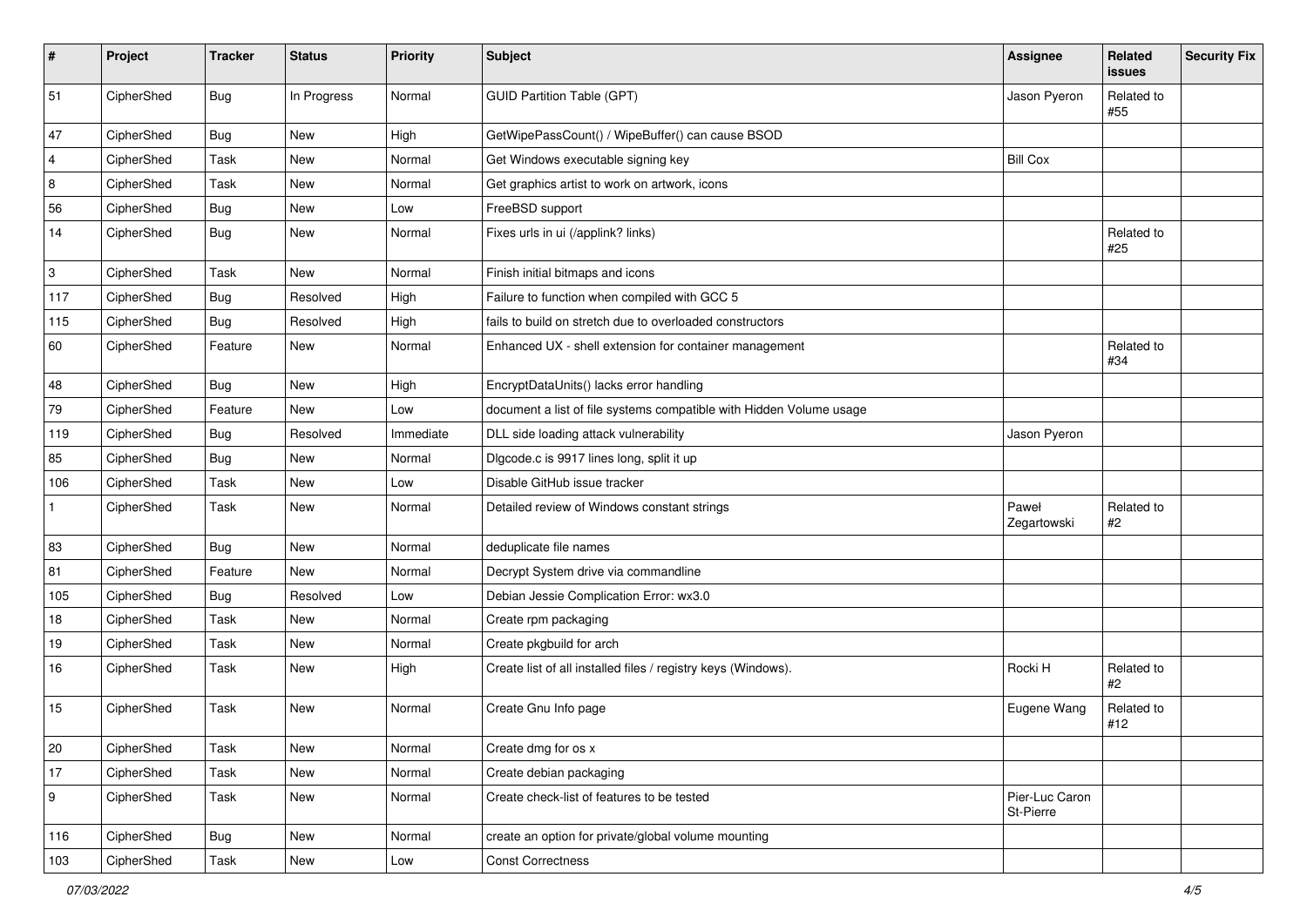| #              | Project    | <b>Tracker</b> | <b>Status</b> | Priority  | <b>Subject</b>                                                      | Assignee                    | <b>Related</b><br>issues | <b>Security Fix</b> |
|----------------|------------|----------------|---------------|-----------|---------------------------------------------------------------------|-----------------------------|--------------------------|---------------------|
| 51             | CipherShed | Bug            | In Progress   | Normal    | <b>GUID Partition Table (GPT)</b>                                   | Jason Pyeron                | Related to<br>#55        |                     |
| 47             | CipherShed | Bug            | <b>New</b>    | High      | GetWipePassCount() / WipeBuffer() can cause BSOD                    |                             |                          |                     |
| $\overline{4}$ | CipherShed | Task           | New           | Normal    | Get Windows executable signing key                                  | <b>Bill Cox</b>             |                          |                     |
| 8              | CipherShed | Task           | New           | Normal    | Get graphics artist to work on artwork, icons                       |                             |                          |                     |
| 56             | CipherShed | <b>Bug</b>     | New           | Low       | FreeBSD support                                                     |                             |                          |                     |
| 14             | CipherShed | Bug            | New           | Normal    | Fixes urls in ui (/applink? links)                                  |                             | Related to<br>#25        |                     |
| 3              | CipherShed | Task           | New           | Normal    | Finish initial bitmaps and icons                                    |                             |                          |                     |
| 117            | CipherShed | <b>Bug</b>     | Resolved      | High      | Failure to function when compiled with GCC 5                        |                             |                          |                     |
| 115            | CipherShed | Bug            | Resolved      | High      | fails to build on stretch due to overloaded constructors            |                             |                          |                     |
| 60             | CipherShed | Feature        | <b>New</b>    | Normal    | Enhanced UX - shell extension for container management              |                             | Related to<br>#34        |                     |
| 48             | CipherShed | <b>Bug</b>     | New           | High      | EncryptDataUnits() lacks error handling                             |                             |                          |                     |
| 79             | CipherShed | Feature        | New           | Low       | document a list of file systems compatible with Hidden Volume usage |                             |                          |                     |
| 119            | CipherShed | <b>Bug</b>     | Resolved      | Immediate | DLL side loading attack vulnerability                               | Jason Pyeron                |                          |                     |
| 85             | CipherShed | Bug            | New           | Normal    | Digcode.c is 9917 lines long, split it up                           |                             |                          |                     |
| 106            | CipherShed | Task           | <b>New</b>    | Low       | Disable GitHub issue tracker                                        |                             |                          |                     |
| $\mathbf{1}$   | CipherShed | Task           | New           | Normal    | Detailed review of Windows constant strings                         | Paweł<br>Zegartowski        | Related to<br>#2         |                     |
| 83             | CipherShed | Bug            | New           | Normal    | deduplicate file names                                              |                             |                          |                     |
| 81             | CipherShed | Feature        | <b>New</b>    | Normal    | Decrypt System drive via commandline                                |                             |                          |                     |
| 105            | CipherShed | <b>Bug</b>     | Resolved      | Low       | Debian Jessie Complication Error: wx3.0                             |                             |                          |                     |
| 18             | CipherShed | Task           | <b>New</b>    | Normal    | Create rpm packaging                                                |                             |                          |                     |
| 19             | CipherShed | Task           | <b>New</b>    | Normal    | Create pkgbuild for arch                                            |                             |                          |                     |
| 16             | CipherShed | Task           | New           | High      | Create list of all installed files / registry keys (Windows).       | Rocki H                     | Related to<br>#2         |                     |
| 15             | CipherShed | Task           | New           | Normal    | Create Gnu Info page                                                | Eugene Wang                 | Related to<br>#12        |                     |
| 20             | CipherShed | Task           | New           | Normal    | Create dmg for os x                                                 |                             |                          |                     |
| 17             | CipherShed | Task           | New           | Normal    | Create debian packaging                                             |                             |                          |                     |
| 9              | CipherShed | Task           | New           | Normal    | Create check-list of features to be tested                          | Pier-Luc Caron<br>St-Pierre |                          |                     |
| 116            | CipherShed | Bug            | New           | Normal    | create an option for private/global volume mounting                 |                             |                          |                     |
| 103            | CipherShed | Task           | New           | Low       | <b>Const Correctness</b>                                            |                             |                          |                     |